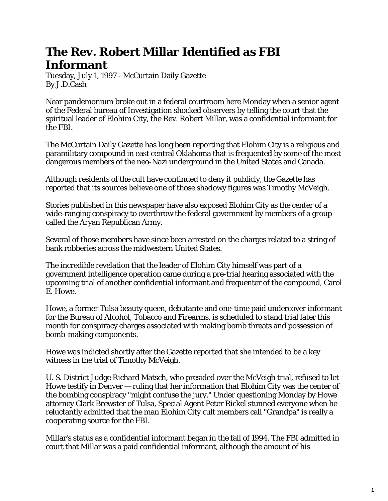## **The Rev. Robert Millar Identified as FBI Informant**

Tuesday, July 1, 1997 - McCurtain Daily Gazette By J.D.Cash

Near pandemonium broke out in a federal courtroom here Monday when a senior agent of the Federal bureau of Investigation shocked observers by telling the court that the spiritual leader of Elohim City, the Rev. Robert Millar, was a confidential informant for the FBI.

The McCurtain Daily Gazette has long been reporting that Elohim City is a religious and paramilitary compound in east central Oklahoma that is frequented by some of the most dangerous members of the neo-Nazi underground in the United States and Canada.

Although residents of the cult have continued to deny it publicly, the Gazette has reported that its sources believe one of those shadowy figures was Timothy McVeigh.

Stories published in this newspaper have also exposed Elohim City as the center of a wide-ranging conspiracy to overthrow the federal government by members of a group called the Aryan Republican Army.

Several of those members have since been arrested on the charges related to a string of bank robberies across the midwestern United States.

The incredible revelation that the leader of Elohim City himself was part of a government intelligence operation came during a pre-trial hearing associated with the upcoming trial of another confidential informant and frequenter of the compound, Carol E. Howe.

Howe, a former Tulsa beauty queen, debutante and one-time paid undercover informant for the Bureau of Alcohol, Tobacco and Firearms, is scheduled to stand trial later this month for conspiracy charges associated with making bomb threats and possession of bomb-making components.

Howe was indicted shortly after the Gazette reported that she intended to be a key witness in the trial of Timothy McVeigh.

U. S. District Judge Richard Matsch, who presided over the McVeigh trial, refused to let Howe testify in Denver — ruling that her information that Elohim City was the center of the bombing conspiracy "might confuse the jury." Under questioning Monday by Howe attorney Clark Brewster of Tulsa, Special Agent Peter Rickel stunned everyone when he reluctantly admitted that the man Elohim City cult members call "Grandpa" is really a cooperating source for the FBI.

Millar's status as a confidential informant began in the fall of 1994. The FBI admitted in court that Millar was a paid confidential informant, although the amount of his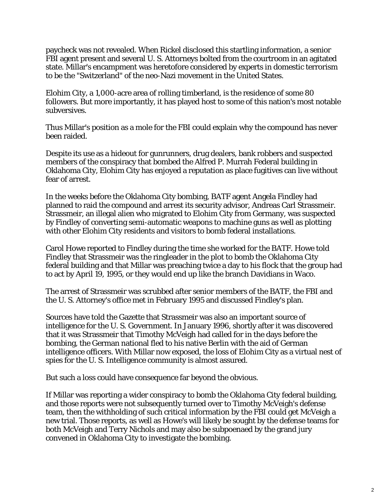paycheck was not revealed. When Rickel disclosed this startling information, a senior FBI agent present and several U. S. Attorneys bolted from the courtroom in an agitated state. Millar's encampment was heretofore considered by experts in domestic terrorism to be the "Switzerland" of the neo-Nazi movement in the United States.

Elohim City, a 1,000-acre area of rolling timberland, is the residence of some 80 followers. But more importantly, it has played host to some of this nation's most notable subversives.

Thus Millar's position as a mole for the FBI could explain why the compound has never been raided.

Despite its use as a hideout for gunrunners, drug dealers, bank robbers and suspected members of the conspiracy that bombed the Alfred P. Murrah Federal building in Oklahoma City, Elohim City has enjoyed a reputation as place fugitives can live without fear of arrest.

In the weeks before the Oklahoma City bombing, BATF agent Angela Findley had planned to raid the compound and arrest its security advisor, Andreas Carl Strassmeir. Strassmeir, an illegal alien who migrated to Elohim City from Germany, was suspected by Findley of converting semi-automatic weapons to machine guns as well as plotting with other Elohim City residents and visitors to bomb federal installations.

Carol Howe reported to Findley during the time she worked for the BATF. Howe told Findley that Strassmeir was the ringleader in the plot to bomb the Oklahoma City federal building and that Millar was preaching twice a day to his flock that the group had to act by April 19, 1995, or they would end up like the branch Davidians in Waco.

The arrest of Strassmeir was scrubbed after senior members of the BATF, the FBI and the U. S. Attorney's office met in February 1995 and discussed Findley's plan.

Sources have told the Gazette that Strassmeir was also an important source of intelligence for the U. S. Government. In January 1996, shortly after it was discovered that it was Strassmeir that Timothy McVeigh had called for in the days before the bombing, the German national fled to his native Berlin with the aid of German intelligence officers. With Millar now exposed, the loss of Elohim City as a virtual nest of spies for the U. S. Intelligence community is almost assured.

But such a loss could have consequence far beyond the obvious.

If Millar was reporting a wider conspiracy to bomb the Oklahoma City federal building, and those reports were not subsequently turned over to Timothy McVeigh's defense team, then the withholding of such critical information by the FBI could get McVeigh a new trial. Those reports, as well as Howe's will likely be sought by the defense teams for both McVeigh and Terry Nichols and may also be subpoenaed by the grand jury convened in Oklahoma City to investigate the bombing.